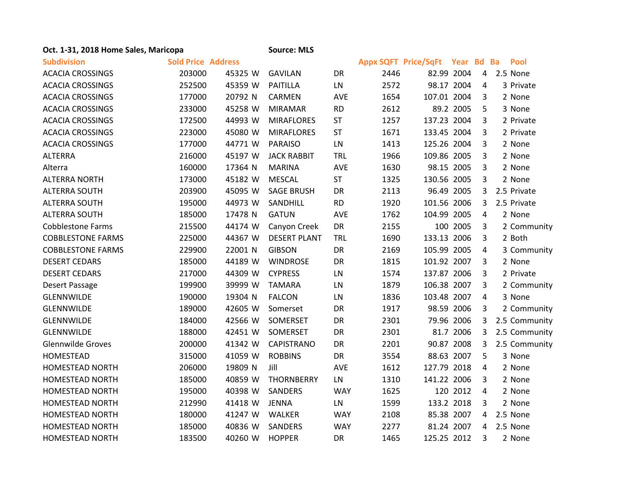| Oct. 1-31, 2018 Home Sales, Maricopa |                           |         | <b>Source: MLS</b>  |            |                             |             |            |                |               |
|--------------------------------------|---------------------------|---------|---------------------|------------|-----------------------------|-------------|------------|----------------|---------------|
| <b>Subdivision</b>                   | <b>Sold Price Address</b> |         |                     |            | <b>Appx SQFT Price/SqFt</b> |             | Year Bd Ba |                | Pool          |
| <b>ACACIA CROSSINGS</b>              | 203000                    | 45325 W | <b>GAVILAN</b>      | DR         | 2446                        | 82.99 2004  |            | $\overline{4}$ | 2.5 None      |
| <b>ACACIA CROSSINGS</b>              | 252500                    | 45359 W | PAITILLA            | LN         | 2572                        | 98.17 2004  |            | 4              | 3 Private     |
| <b>ACACIA CROSSINGS</b>              | 177000                    | 20792 N | <b>CARMEN</b>       | AVE        | 1654                        | 107.01 2004 |            | 3              | 2 None        |
| <b>ACACIA CROSSINGS</b>              | 233000                    | 45258 W | <b>MIRAMAR</b>      | <b>RD</b>  | 2612                        |             | 89.2 2005  | 5              | 3 None        |
| <b>ACACIA CROSSINGS</b>              | 172500                    | 44993 W | <b>MIRAFLORES</b>   | ST         | 1257                        | 137.23 2004 |            | 3              | 2 Private     |
| <b>ACACIA CROSSINGS</b>              | 223000                    | 45080 W | <b>MIRAFLORES</b>   | <b>ST</b>  | 1671                        | 133.45 2004 |            | 3              | 2 Private     |
| <b>ACACIA CROSSINGS</b>              | 177000                    | 44771 W | <b>PARAISO</b>      | LN         | 1413                        | 125.26 2004 |            | 3              | 2 None        |
| <b>ALTERRA</b>                       | 216000                    | 45197 W | <b>JACK RABBIT</b>  | <b>TRL</b> | 1966                        | 109.86 2005 |            | 3              | 2 None        |
| Alterra                              | 160000                    | 17364 N | <b>MARINA</b>       | <b>AVE</b> | 1630                        | 98.15 2005  |            | 3              | 2 None        |
| <b>ALTERRA NORTH</b>                 | 173000                    | 45182 W | <b>MESCAL</b>       | <b>ST</b>  | 1325                        | 130.56 2005 |            | 3              | 2 None        |
| <b>ALTERRA SOUTH</b>                 | 203900                    | 45095 W | <b>SAGE BRUSH</b>   | DR         | 2113                        | 96.49 2005  |            | 3              | 2.5 Private   |
| <b>ALTERRA SOUTH</b>                 | 195000                    | 44973 W | SANDHILL            | <b>RD</b>  | 1920                        | 101.56 2006 |            | 3              | 2.5 Private   |
| <b>ALTERRA SOUTH</b>                 | 185000                    | 17478 N | <b>GATUN</b>        | AVE        | 1762                        | 104.99 2005 |            | 4              | 2 None        |
| <b>Cobblestone Farms</b>             | 215500                    | 44174 W | Canyon Creek        | DR         | 2155                        |             | 100 2005   | 3              | 2 Community   |
| <b>COBBLESTONE FARMS</b>             | 225000                    | 44367 W | <b>DESERT PLANT</b> | TRL        | 1690                        | 133.13 2006 |            | 3              | 2 Both        |
| <b>COBBLESTONE FARMS</b>             | 229900                    | 22001 N | <b>GIBSON</b>       | DR         | 2169                        | 105.99 2005 |            | 4              | 3 Community   |
| <b>DESERT CEDARS</b>                 | 185000                    | 44189 W | <b>WINDROSE</b>     | DR         | 1815                        | 101.92 2007 |            | 3              | 2 None        |
| <b>DESERT CEDARS</b>                 | 217000                    | 44309 W | <b>CYPRESS</b>      | LN         | 1574                        | 137.87 2006 |            | 3              | 2 Private     |
| Desert Passage                       | 199900                    | 39999 W | <b>TAMARA</b>       | LN         | 1879                        | 106.38 2007 |            | 3              | 2 Community   |
| GLENNWILDE                           | 190000                    | 19304 N | <b>FALCON</b>       | LN         | 1836                        | 103.48 2007 |            | 4              | 3 None        |
| GLENNWILDE                           | 189000                    | 42605 W | Somerset            | DR         | 1917                        | 98.59 2006  |            | 3              | 2 Community   |
| GLENNWILDE                           | 184000                    | 42566 W | SOMERSET            | DR         | 2301                        | 79.96 2006  |            | 3              | 2.5 Community |
| GLENNWILDE                           | 188000                    | 42451 W | SOMERSET            | <b>DR</b>  | 2301                        |             | 81.7 2006  | 3              | 2.5 Community |
| <b>Glennwilde Groves</b>             | 200000                    | 41342 W | <b>CAPISTRANO</b>   | DR         | 2201                        | 90.87 2008  |            | 3              | 2.5 Community |
| HOMESTEAD                            | 315000                    | 41059 W | <b>ROBBINS</b>      | DR         | 3554                        | 88.63 2007  |            | 5              | 3 None        |
| <b>HOMESTEAD NORTH</b>               | 206000                    | 19809 N | Jill                | AVE        | 1612                        | 127.79 2018 |            | 4              | 2 None        |
| <b>HOMESTEAD NORTH</b>               | 185000                    | 40859 W | THORNBERRY          | LN         | 1310                        | 141.22 2006 |            | 3              | 2 None        |
| <b>HOMESTEAD NORTH</b>               | 195000                    | 40398 W | SANDERS             | <b>WAY</b> | 1625                        |             | 120 2012   | 4              | 2 None        |
| <b>HOMESTEAD NORTH</b>               | 212990                    | 41418 W | <b>JENNA</b>        | LN         | 1599                        | 133.2 2018  |            | 3              | 2 None        |
| <b>HOMESTEAD NORTH</b>               | 180000                    | 41247 W | WALKER              | <b>WAY</b> | 2108                        | 85.38 2007  |            | 4              | 2.5 None      |
| <b>HOMESTEAD NORTH</b>               | 185000                    | 40836 W | SANDERS             | <b>WAY</b> | 2277                        | 81.24 2007  |            | 4              | 2.5 None      |
| <b>HOMESTEAD NORTH</b>               | 183500                    | 40260 W | <b>HOPPER</b>       | <b>DR</b>  | 1465                        | 125.25 2012 |            | 3              | 2 None        |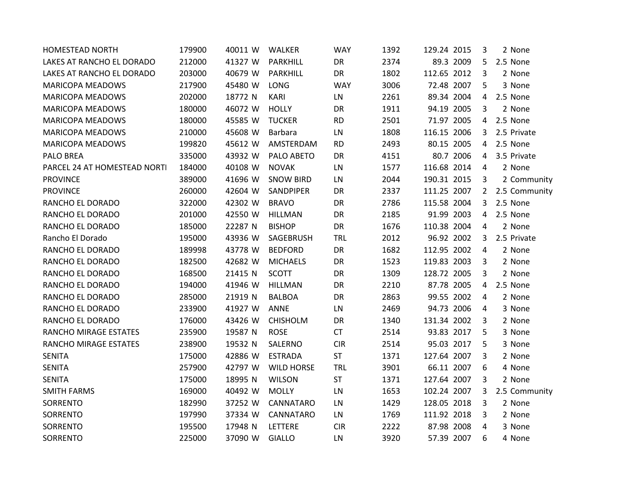| <b>HOMESTEAD NORTH</b>       | 179900 | 40011 W | WALKER            | <b>WAY</b> | 1392 | 129.24 2015 | 3              | 2 None          |
|------------------------------|--------|---------|-------------------|------------|------|-------------|----------------|-----------------|
| LAKES AT RANCHO EL DORADO    | 212000 | 41327 W | PARKHILL          | DR         | 2374 | 89.3 2009   | 5              | 2.5 None        |
| LAKES AT RANCHO EL DORADO    | 203000 | 40679 W | PARKHILL          | DR         | 1802 | 112.65 2012 | 3              | 2 None          |
| <b>MARICOPA MEADOWS</b>      | 217900 | 45480 W | LONG              | <b>WAY</b> | 3006 | 72.48 2007  | 5              | 3 None          |
| <b>MARICOPA MEADOWS</b>      | 202000 | 18772 N | KARI              | LN         | 2261 | 89.34 2004  | 4              | 2.5 None        |
| <b>MARICOPA MEADOWS</b>      | 180000 | 46072 W | <b>HOLLY</b>      | DR         | 1911 | 94.19 2005  | 3              | 2 None          |
| <b>MARICOPA MEADOWS</b>      | 180000 | 45585 W | <b>TUCKER</b>     | <b>RD</b>  | 2501 | 71.97 2005  | 4              | 2.5 None        |
| <b>MARICOPA MEADOWS</b>      | 210000 | 45608 W | Barbara           | LN         | 1808 | 116.15 2006 | 3              | 2.5 Private     |
| <b>MARICOPA MEADOWS</b>      | 199820 | 45612 W | AMSTERDAM         | <b>RD</b>  | 2493 | 80.15 2005  | 4              | 2.5 None        |
| PALO BREA                    | 335000 | 43932 W | PALO ABETO        | DR         | 4151 | 80.7 2006   | 4              | 3.5 Private     |
| PARCEL 24 AT HOMESTEAD NORTI | 184000 | 40108 W | <b>NOVAK</b>      | LN         | 1577 | 116.68 2014 | $\overline{4}$ | 2 None          |
| <b>PROVINCE</b>              | 389000 | 41696 W | <b>SNOW BIRD</b>  | LN         | 2044 | 190.31 2015 | 3              | 2 Community     |
| <b>PROVINCE</b>              | 260000 | 42604 W | SANDPIPER         | DR         | 2337 | 111.25 2007 |                | 2 2.5 Community |
| RANCHO EL DORADO             | 322000 | 42302 W | <b>BRAVO</b>      | DR         | 2786 | 115.58 2004 | 3              | 2.5 None        |
| RANCHO EL DORADO             | 201000 | 42550 W | HILLMAN           | DR         | 2185 | 91.99 2003  | 4              | 2.5 None        |
| RANCHO EL DORADO             | 185000 | 22287 N | <b>BISHOP</b>     | DR         | 1676 | 110.38 2004 | 4              | 2 None          |
| Rancho El Dorado             | 195000 | 43936 W | SAGEBRUSH         | <b>TRL</b> | 2012 | 96.92 2002  | 3              | 2.5 Private     |
| RANCHO EL DORADO             | 189998 | 43778 W | <b>BEDFORD</b>    | DR         | 1682 | 112.95 2002 | 4              | 2 None          |
| RANCHO EL DORADO             | 182500 | 42682 W | <b>MICHAELS</b>   | DR         | 1523 | 119.83 2003 | 3              | 2 None          |
| RANCHO EL DORADO             | 168500 | 21415 N | <b>SCOTT</b>      | DR         | 1309 | 128.72 2005 | 3              | 2 None          |
| RANCHO EL DORADO             | 194000 | 41946 W | <b>HILLMAN</b>    | DR         | 2210 | 87.78 2005  | 4              | 2.5 None        |
| RANCHO EL DORADO             | 285000 | 21919 N | <b>BALBOA</b>     | DR         | 2863 | 99.55 2002  | 4              | 2 None          |
| RANCHO EL DORADO             | 233900 | 41927 W | ANNE              | LN         | 2469 | 94.73 2006  | 4              | 3 None          |
| RANCHO EL DORADO             | 176000 | 43426 W | <b>CHISHOLM</b>   | DR         | 1340 | 131.34 2002 | 3              | 2 None          |
| RANCHO MIRAGE ESTATES        | 235900 | 19587 N | <b>ROSE</b>       | <b>CT</b>  | 2514 | 93.83 2017  | 5              | 3 None          |
| RANCHO MIRAGE ESTATES        | 238900 | 19532 N | SALERNO           | <b>CIR</b> | 2514 | 95.03 2017  | 5              | 3 None          |
| <b>SENITA</b>                | 175000 | 42886 W | <b>ESTRADA</b>    | <b>ST</b>  | 1371 | 127.64 2007 | 3              | 2 None          |
| <b>SENITA</b>                | 257900 | 42797 W | <b>WILD HORSE</b> | <b>TRL</b> | 3901 | 66.11 2007  | 6              | 4 None          |
| <b>SENITA</b>                | 175000 | 18995 N | <b>WILSON</b>     | <b>ST</b>  | 1371 | 127.64 2007 | 3              | 2 None          |
| <b>SMITH FARMS</b>           | 169000 | 40492 W | <b>MOLLY</b>      | LN         | 1653 | 102.24 2007 | 3              | 2.5 Community   |
| SORRENTO                     | 182990 | 37252 W | CANNATARO         | LN         | 1429 | 128.05 2018 | 3              | 2 None          |
| SORRENTO                     | 197990 | 37334 W | CANNATARO         | LN         | 1769 | 111.92 2018 | 3              | 2 None          |
| SORRENTO                     | 195500 | 17948 N | LETTERE           | <b>CIR</b> | 2222 | 87.98 2008  | 4              | 3 None          |
| SORRENTO                     | 225000 | 37090 W | <b>GIALLO</b>     | LN         | 3920 | 57.39 2007  | 6              | 4 None          |